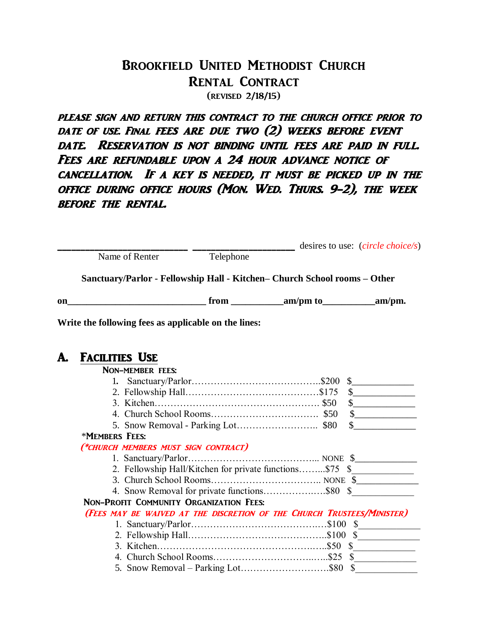## Brookfield United Methodist Church Rental Contract (revised 2/18/15)

PLEASE SIGN AND RETURN THIS CONTRACT TO THE CHURCH OFFICE PRIOR TO DATE OF USE. FINAL FEES ARE DUE TWO (2) WEEKS BEFORE EVENT date. Reservation is not binding until fees are paid in full. FEES ARE REFUNDABLE UPON A 24 HOUR ADVANCE NOTICE OF cancellation. If a key is needed, it must be picked up in the office during office hours (Mon. Wed. Thurs. 9-2), the week before the rental.

|    |                                                                        |                                      |                                                      |                                                                           | desires to use: <i>(circle choice/s)</i> |  |  |
|----|------------------------------------------------------------------------|--------------------------------------|------------------------------------------------------|---------------------------------------------------------------------------|------------------------------------------|--|--|
|    |                                                                        | Name of Renter                       | Telephone                                            |                                                                           |                                          |  |  |
|    |                                                                        |                                      |                                                      | Sanctuary/Parlor - Fellowship Hall - Kitchen- Church School rooms - Other |                                          |  |  |
| on |                                                                        |                                      |                                                      | $\frac{1}{2}$ from $\frac{1}{2}$ am/pm to $\frac{1}{2}$ am/pm.            |                                          |  |  |
|    |                                                                        |                                      | Write the following fees as applicable on the lines: |                                                                           |                                          |  |  |
| A. | <b>FACILITIES USE</b>                                                  |                                      |                                                      |                                                                           |                                          |  |  |
|    |                                                                        | <b>NON-MEMBER FEES:</b>              |                                                      |                                                                           |                                          |  |  |
|    |                                                                        |                                      |                                                      |                                                                           |                                          |  |  |
|    |                                                                        |                                      |                                                      |                                                                           | $\frac{1}{2}$                            |  |  |
|    |                                                                        |                                      |                                                      |                                                                           | $\frac{1}{2}$                            |  |  |
|    |                                                                        |                                      |                                                      |                                                                           | $\frac{1}{2}$                            |  |  |
|    |                                                                        |                                      |                                                      |                                                                           | $\sim$                                   |  |  |
|    | *MEMBERS FEES:                                                         |                                      |                                                      |                                                                           |                                          |  |  |
|    |                                                                        | (*CHURCH MEMBERS MUST SIGN CONTRACT) |                                                      |                                                                           |                                          |  |  |
|    |                                                                        |                                      |                                                      |                                                                           |                                          |  |  |
|    |                                                                        |                                      |                                                      | 2. Fellowship Hall/Kitchen for private functions\$75 \$                   |                                          |  |  |
|    |                                                                        |                                      |                                                      |                                                                           |                                          |  |  |
|    |                                                                        |                                      |                                                      |                                                                           |                                          |  |  |
|    |                                                                        |                                      | NON-PROFIT COMMUNITY ORGANIZATION FEES:              |                                                                           |                                          |  |  |
|    | (FEES MAY BE WAIVED AT THE DISCRETION OF THE CHURCH TRUSTEES/MINISTER) |                                      |                                                      |                                                                           |                                          |  |  |
|    |                                                                        |                                      |                                                      |                                                                           |                                          |  |  |
|    |                                                                        |                                      |                                                      |                                                                           |                                          |  |  |
|    |                                                                        |                                      |                                                      |                                                                           |                                          |  |  |
|    |                                                                        |                                      |                                                      |                                                                           |                                          |  |  |
|    |                                                                        |                                      |                                                      |                                                                           |                                          |  |  |